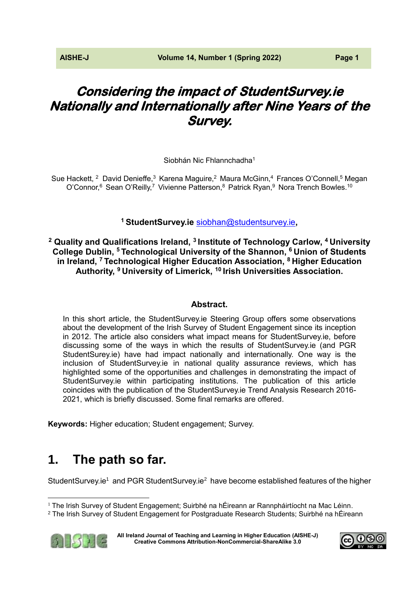# **Considering the impact of StudentSurvey.ie Nationally and Internationally after Nine Years of the Survey.**

Siobhán Nic Fhlannchadha<sup>1</sup>

Sue Hackett, <sup>2</sup> David Denieffe,<sup>3</sup> Karena Maguire,<sup>2</sup> Maura McGinn,<sup>4</sup> Frances O'Connell,<sup>5</sup> Megan O'Connor,<sup>6</sup> Sean O'Reilly,<sup>7</sup> Vivienne Patterson,<sup>8</sup> Patrick Ryan,<sup>9</sup> Nora Trench Bowles.<sup>10</sup>

**<sup>1</sup> StudentSurvey.ie** [siobhan@studentsurvey.ie](mailto:siobhan@studentsurvey.ie)**,** 

**<sup>2</sup> Quality and Qualifications Ireland, <sup>3</sup>Institute of Technology Carlow, <sup>4</sup>University College Dublin, <sup>5</sup>Technological University of the Shannon, <sup>6</sup>Union of Students in Ireland, <sup>7</sup>Technological Higher Education Association, <sup>8</sup>Higher Education Authority, <sup>9</sup>University of Limerick, <sup>10</sup>Irish Universities Association.**

## **Abstract.**

In this short article, the StudentSurvey.ie Steering Group offers some observations about the development of the Irish Survey of Student Engagement since its inception in 2012. The article also considers what impact means for StudentSurvey.ie, before discussing some of the ways in which the results of StudentSurvey.ie (and PGR StudentSurey.ie) have had impact nationally and internationally. One way is the inclusion of StudentSurvey.ie in national quality assurance reviews, which has highlighted some of the opportunities and challenges in demonstrating the impact of StudentSurvey.ie within participating institutions. The publication of this article coincides with the publication of the StudentSurvey.ie Trend Analysis Research 2016- 2021, which is briefly discussed. Some final remarks are offered.

**Keywords:** Higher education; Student engagement; Survey.

# **1. The path so far.**

StudentSurvey.ie<sup>1</sup> and PGR StudentSurvey.ie<sup>2</sup> have become established features of the higher

<sup>2</sup> The Irish Survey of Student Engagement for Postgraduate Research Students; Suirbhé na hÉireann



**[All Ireland Journal of Teaching and Learning in Higher Education \(AISHE-J\)](http://ojs.aishe.org/index.php/aishe-j) [Creative Commons Attribution-NonCommercial-ShareAlike 3.0](http://creativecommons.org/licenses/by-nc-sa/3.0/)**



 $\overline{a}$  $1$  The Irish Survey of Student Engagement; Suirbhé na hÉireann ar Rannpháirtíocht na Mac Léinn.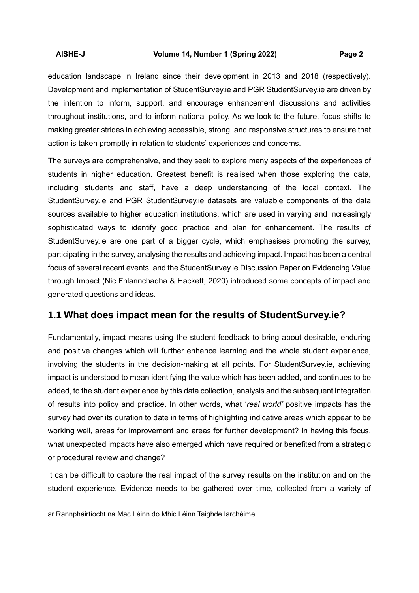education landscape in Ireland since their development in 2013 and 2018 (respectively). Development and implementation of StudentSurvey.ie and PGR StudentSurvey.ie are driven by the intention to inform, support, and encourage enhancement discussions and activities throughout institutions, and to inform national policy. As we look to the future, focus shifts to making greater strides in achieving accessible, strong, and responsive structures to ensure that action is taken promptly in relation to students' experiences and concerns.

The surveys are comprehensive, and they seek to explore many aspects of the experiences of students in higher education. Greatest benefit is realised when those exploring the data, including students and staff, have a deep understanding of the local context. The StudentSurvey.ie and PGR StudentSurvey.ie datasets are valuable components of the data sources available to higher education institutions, which are used in varying and increasingly sophisticated ways to identify good practice and plan for enhancement. The results of StudentSurvey.ie are one part of a bigger cycle, which emphasises promoting the survey, participating in the survey, analysing the results and achieving impact. Impact has been a central focus of several recent events, and the StudentSurvey.ie Discussion Paper on Evidencing Value through Impact (Nic Fhlannchadha & Hackett, 2020) introduced some concepts of impact and generated questions and ideas.

# **1.1 What does impact mean for the results of StudentSurvey.ie?**

Fundamentally, impact means using the student feedback to bring about desirable, enduring and positive changes which will further enhance learning and the whole student experience, involving the students in the decision-making at all points. For StudentSurvey.ie, achieving impact is understood to mean identifying the value which has been added, and continues to be added, to the student experience by this data collection, analysis and the subsequent integration of results into policy and practice. In other words, what '*real world'* positive impacts has the survey had over its duration to date in terms of highlighting indicative areas which appear to be working well, areas for improvement and areas for further development? In having this focus, what unexpected impacts have also emerged which have required or benefited from a strategic or procedural review and change?

It can be difficult to capture the real impact of the survey results on the institution and on the student experience. Evidence needs to be gathered over time, collected from a variety of

 $\overline{a}$ 

ar Rannpháirtíocht na Mac Léinn do Mhic Léinn Taighde Iarchéime.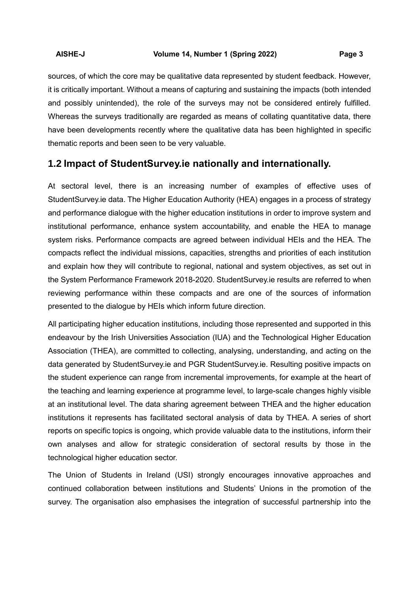sources, of which the core may be qualitative data represented by student feedback. However, it is critically important. Without a means of capturing and sustaining the impacts (both intended and possibly unintended), the role of the surveys may not be considered entirely fulfilled. Whereas the surveys traditionally are regarded as means of collating quantitative data, there have been developments recently where the qualitative data has been highlighted in specific thematic reports and been seen to be very valuable.

## **1.2 Impact of StudentSurvey.ie nationally and internationally.**

At sectoral level, there is an increasing number of examples of effective uses of StudentSurvey.ie data. The Higher Education Authority (HEA) engages in a process of strategy and performance dialogue with the higher education institutions in order to improve system and institutional performance, enhance system accountability, and enable the HEA to manage system risks. Performance compacts are agreed between individual HEIs and the HEA. The compacts reflect the individual missions, capacities, strengths and priorities of each institution and explain how they will contribute to regional, national and system objectives, as set out in the System Performance Framework 2018-2020. StudentSurvey.ie results are referred to when reviewing performance within these compacts and are one of the sources of information presented to the dialogue by HEIs which inform future direction.

All participating higher education institutions, including those represented and supported in this endeavour by the Irish Universities Association (IUA) and the Technological Higher Education Association (THEA), are committed to collecting, analysing, understanding, and acting on the data generated by StudentSurvey.ie and PGR StudentSurvey.ie. Resulting positive impacts on the student experience can range from incremental improvements, for example at the heart of the teaching and learning experience at programme level, to large-scale changes highly visible at an institutional level. The data sharing agreement between THEA and the higher education institutions it represents has facilitated sectoral analysis of data by THEA. A series of short reports on specific topics is ongoing, which provide valuable data to the institutions, inform their own analyses and allow for strategic consideration of sectoral results by those in the technological higher education sector.

The Union of Students in Ireland (USI) strongly encourages innovative approaches and continued collaboration between institutions and Students' Unions in the promotion of the survey. The organisation also emphasises the integration of successful partnership into the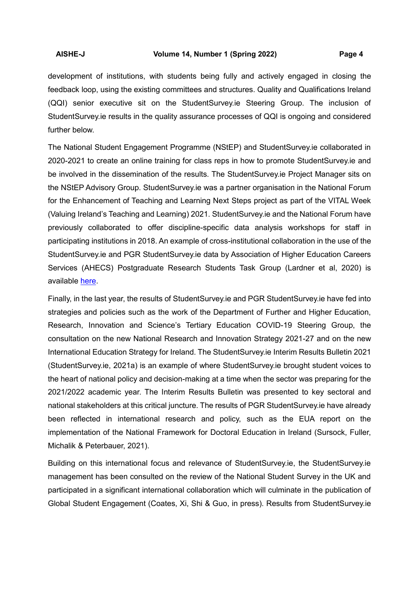development of institutions, with students being fully and actively engaged in closing the feedback loop, using the existing committees and structures. Quality and Qualifications Ireland (QQI) senior executive sit on the StudentSurvey.ie Steering Group. The inclusion of StudentSurvey.ie results in the quality assurance processes of QQI is ongoing and considered further below.

The National Student Engagement Programme (NStEP) and StudentSurvey.ie collaborated in 2020-2021 to create an online training for class reps in how to promote StudentSurvey.ie and be involved in the dissemination of the results. The StudentSurvey.ie Project Manager sits on the NStEP Advisory Group. StudentSurvey.ie was a partner organisation in the National Forum for the Enhancement of Teaching and Learning Next Steps project as part of the VITAL Week (Valuing Ireland's Teaching and Learning) 2021. StudentSurvey.ie and the National Forum have previously collaborated to offer discipline-specific data analysis workshops for staff in participating institutions in 2018. An example of cross-institutional collaboration in the use of the StudentSurvey.ie and PGR StudentSurvey.ie data by Association of Higher Education Careers Services (AHECS) Postgraduate Research Students Task Group (Lardner et al, 2020) is available [here.](https://studentsurvey.ie/blog/exploration-career-skills-development-among-arts-humanities-social-science-pgrs-ireland)

Finally, in the last year, the results of StudentSurvey.ie and PGR StudentSurvey.ie have fed into strategies and policies such as the work of the Department of Further and Higher Education, Research, Innovation and Science's Tertiary Education COVID-19 Steering Group, the consultation on the new National Research and Innovation Strategy 2021-27 and on the new International Education Strategy for Ireland. The StudentSurvey.ie Interim Results Bulletin 2021 (StudentSurvey.ie, 2021a) is an example of where StudentSurvey.ie brought student voices to the heart of national policy and decision-making at a time when the sector was preparing for the 2021/2022 academic year. The Interim Results Bulletin was presented to key sectoral and national stakeholders at this critical juncture. The results of PGR StudentSurvey.ie have already been reflected in international research and policy, such as the EUA report on the implementation of the National Framework for Doctoral Education in Ireland (Sursock, Fuller, Michalik & Peterbauer, 2021).

Building on this international focus and relevance of StudentSurvey.ie, the StudentSurvey.ie management has been consulted on the review of the National Student Survey in the UK and participated in a significant international collaboration which will culminate in the publication of Global Student Engagement (Coates, Xi, Shi & Guo, in press). Results from StudentSurvey.ie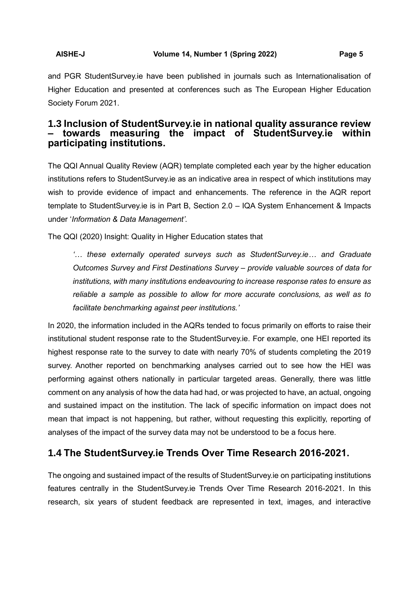and PGR StudentSurvey.ie have been published in journals such as Internationalisation of Higher Education and presented at conferences such as The European Higher Education Society Forum 2021.

# **1.3 Inclusion of StudentSurvey.ie in national quality assurance review – towards measuring the impact of StudentSurvey.ie within participating institutions.**

The QQI Annual Quality Review (AQR) template completed each year by the higher education institutions refers to StudentSurvey.ie as an indicative area in respect of which institutions may wish to provide evidence of impact and enhancements. The reference in the AQR report template to StudentSurvey.ie is in Part B, Section 2.0 – IQA System Enhancement & Impacts under '*Information & Data Management'*.

The QQI (2020) Insight: Quality in Higher Education states that

*'… these externally operated surveys such as StudentSurvey.ie… and Graduate Outcomes Survey and First Destinations Survey – provide valuable sources of data for institutions, with many institutions endeavouring to increase response rates to ensure as reliable a sample as possible to allow for more accurate conclusions, as well as to facilitate benchmarking against peer institutions.'* 

In 2020, the information included in the AQRs tended to focus primarily on efforts to raise their institutional student response rate to the StudentSurvey.ie. For example, one HEI reported its highest response rate to the survey to date with nearly 70% of students completing the 2019 survey. Another reported on benchmarking analyses carried out to see how the HEI was performing against others nationally in particular targeted areas. Generally, there was little comment on any analysis of how the data had had, or was projected to have, an actual, ongoing and sustained impact on the institution. The lack of specific information on impact does not mean that impact is not happening, but rather, without requesting this explicitly, reporting of analyses of the impact of the survey data may not be understood to be a focus here.

# **1.4 The StudentSurvey.ie Trends Over Time Research 2016-2021.**

The ongoing and sustained impact of the results of StudentSurvey.ie on participating institutions features centrally in the StudentSurvey.ie Trends Over Time Research 2016-2021. In this research, six years of student feedback are represented in text, images, and interactive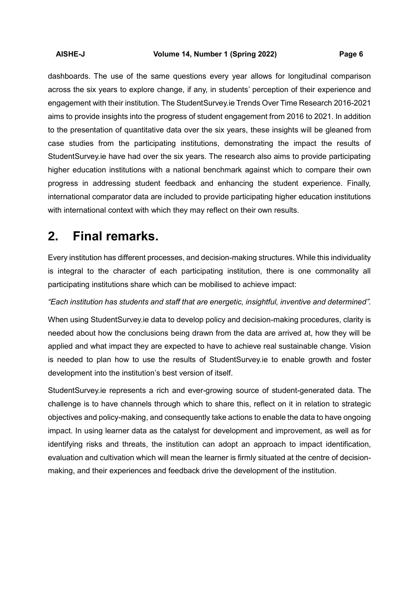dashboards. The use of the same questions every year allows for longitudinal comparison across the six years to explore change, if any, in students' perception of their experience and engagement with their institution. The StudentSurvey.ie Trends Over Time Research 2016-2021 aims to provide insights into the progress of student engagement from 2016 to 2021. In addition to the presentation of quantitative data over the six years, these insights will be gleaned from case studies from the participating institutions, demonstrating the impact the results of StudentSurvey.ie have had over the six years. The research also aims to provide participating higher education institutions with a national benchmark against which to compare their own progress in addressing student feedback and enhancing the student experience. Finally, international comparator data are included to provide participating higher education institutions with international context with which they may reflect on their own results.

# **2. Final remarks.**

Every institution has different processes, and decision-making structures. While this individuality is integral to the character of each participating institution, there is one commonality all participating institutions share which can be mobilised to achieve impact:

### *"Each institution has students and staff that are energetic, insightful, inventive and determined".*

When using StudentSurvey.ie data to develop policy and decision-making procedures, clarity is needed about how the conclusions being drawn from the data are arrived at, how they will be applied and what impact they are expected to have to achieve real sustainable change. Vision is needed to plan how to use the results of StudentSurvey.ie to enable growth and foster development into the institution's best version of itself.

StudentSurvey.ie represents a rich and ever-growing source of student-generated data. The challenge is to have channels through which to share this, reflect on it in relation to strategic objectives and policy-making, and consequently take actions to enable the data to have ongoing impact. In using learner data as the catalyst for development and improvement, as well as for identifying risks and threats, the institution can adopt an approach to impact identification, evaluation and cultivation which will mean the learner is firmly situated at the centre of decisionmaking, and their experiences and feedback drive the development of the institution.